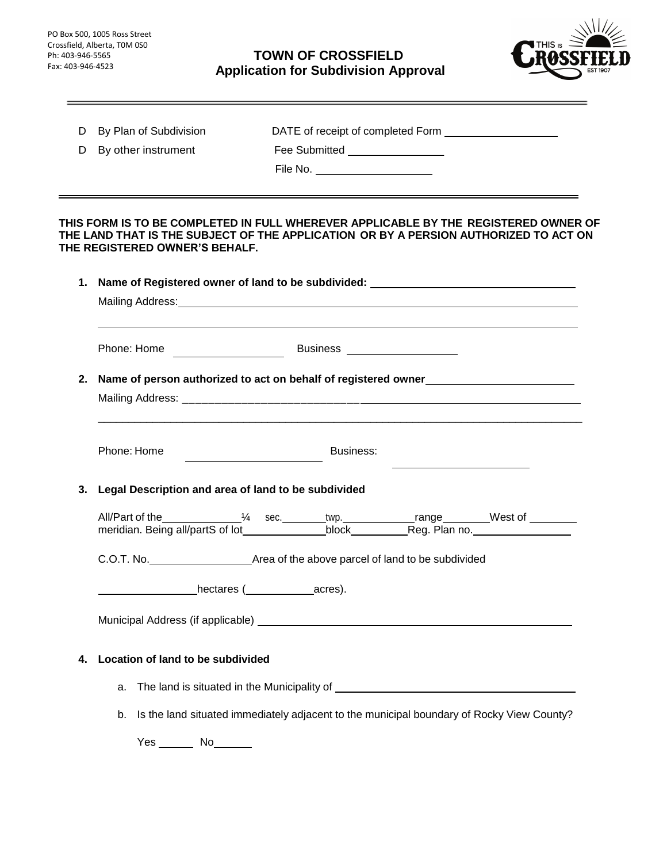<u> The Communication of the Communication</u>

the control of the control of the control of

# **TOWN OF CROSSFIELD Application for Subdivision Approval**



| D  | By Plan of Subdivision                                                                                                 |  |                               |  |  |  |  |
|----|------------------------------------------------------------------------------------------------------------------------|--|-------------------------------|--|--|--|--|
| D  | By other instrument                                                                                                    |  | Fee Submitted _______________ |  |  |  |  |
|    |                                                                                                                        |  | File No.                      |  |  |  |  |
|    | THIS FORM IS TO BE COMPLETED IN FULL WHEREVER APPLICABLE BY THE REGISTERED OWNER OF                                    |  |                               |  |  |  |  |
|    | THE LAND THAT IS THE SUBJECT OF THE APPLICATION OR BY A PERSION AUTHORIZED TO ACT ON<br>THE REGISTERED OWNER'S BEHALF. |  |                               |  |  |  |  |
|    | 1. Name of Registered owner of land to be subdivided: __________________________                                       |  |                               |  |  |  |  |
|    |                                                                                                                        |  |                               |  |  |  |  |
|    |                                                                                                                        |  |                               |  |  |  |  |
|    | 2. Name of person authorized to act on behalf of registered owner______________________                                |  |                               |  |  |  |  |
|    |                                                                                                                        |  |                               |  |  |  |  |
|    | Phone: Home                                                                                                            |  | Business:                     |  |  |  |  |
| 3. | Legal Description and area of land to be subdivided                                                                    |  |                               |  |  |  |  |
|    |                                                                                                                        |  |                               |  |  |  |  |
|    |                                                                                                                        |  |                               |  |  |  |  |
|    | hectares (acres).                                                                                                      |  |                               |  |  |  |  |
|    |                                                                                                                        |  |                               |  |  |  |  |
| 4. | Location of land to be subdivided                                                                                      |  |                               |  |  |  |  |
|    | a.                                                                                                                     |  |                               |  |  |  |  |
|    | Is the land situated immediately adjacent to the municipal boundary of Rocky View County?<br>b.                        |  |                               |  |  |  |  |
|    | $Yes$ No $\_\_$                                                                                                        |  |                               |  |  |  |  |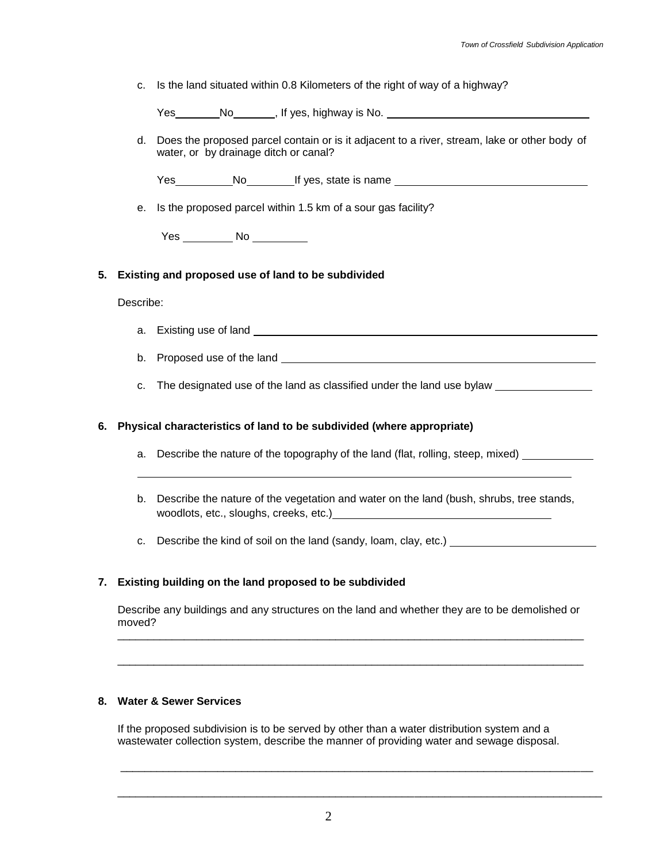c. Is the land situated within 0.8 Kilometers of the right of way of a highway?

Yes No , If yes, highway is No. 1994

d. Does the proposed parcel contain or is it adjacent to a river, stream, lake or other body of water, or by drainage ditch or canal?

Yes No If yes, state is name

e. Is the proposed parcel within 1.5 km of a sour gas facility?

Yes \_\_\_\_\_\_\_\_\_\_\_ No \_\_\_\_\_\_\_\_\_\_\_

#### **5. Existing and proposed use of land to be subdivided**

Describe:

- a. Existing use of land
- b. Proposed use of the land
- c. The designated use of the land as classified under the land use bylaw

#### **6. Physical characteristics of land to be subdivided (where appropriate)**

- a. Describe the nature of the topography of the land (flat, rolling, steep, mixed)
- b. Describe the nature of the vegetation and water on the land (bush, shrubs, tree stands, woodlots, etc., sloughs, creeks, etc.) **contains the substantial contains an extra set of the set of the set of the set of the set of the set of the set of the set of the set of the set of the set of the set of the set of**
- c. Describe the kind of soil on the land (sandy, loam, clay, etc.)

#### **7. Existing building on the land proposed to be subdivided**

Describe any buildings and any structures on the land and whether they are to be demolished or moved? \_\_\_\_\_\_\_\_\_\_\_\_\_\_\_\_\_\_\_\_\_\_\_\_\_\_\_\_\_\_\_\_\_\_\_\_\_\_\_\_\_\_\_\_\_\_\_\_\_\_\_\_\_\_\_\_\_\_\_\_\_\_\_\_\_\_\_\_\_\_\_\_\_\_\_\_\_

\_\_\_\_\_\_\_\_\_\_\_\_\_\_\_\_\_\_\_\_\_\_\_\_\_\_\_\_\_\_\_\_\_\_\_\_\_\_\_\_\_\_\_\_\_\_\_\_\_\_\_\_\_\_\_\_\_\_\_\_\_\_\_\_\_\_\_\_\_\_\_\_\_\_\_\_\_

## **8. Water & Sewer Services**

If the proposed subdivision is to be served by other than a water distribution system and a wastewater collection system, describe the manner of providing water and sewage disposal.

\_\_\_\_\_\_\_\_\_\_\_\_\_\_\_\_\_\_\_\_\_\_\_\_\_\_\_\_\_\_\_\_\_\_\_\_\_\_\_\_\_\_\_\_\_\_\_\_\_\_\_\_\_\_\_\_\_\_\_\_\_\_\_\_\_\_\_\_\_\_\_\_\_\_\_\_\_\_

\_\_\_\_\_\_\_\_\_\_\_\_\_\_\_\_\_\_\_\_\_\_\_\_\_\_\_\_\_\_\_\_\_\_\_\_\_\_\_\_\_\_\_\_\_\_\_\_\_\_\_\_\_\_\_\_\_\_\_\_\_\_\_\_\_\_\_\_\_\_\_\_\_\_\_\_\_\_\_\_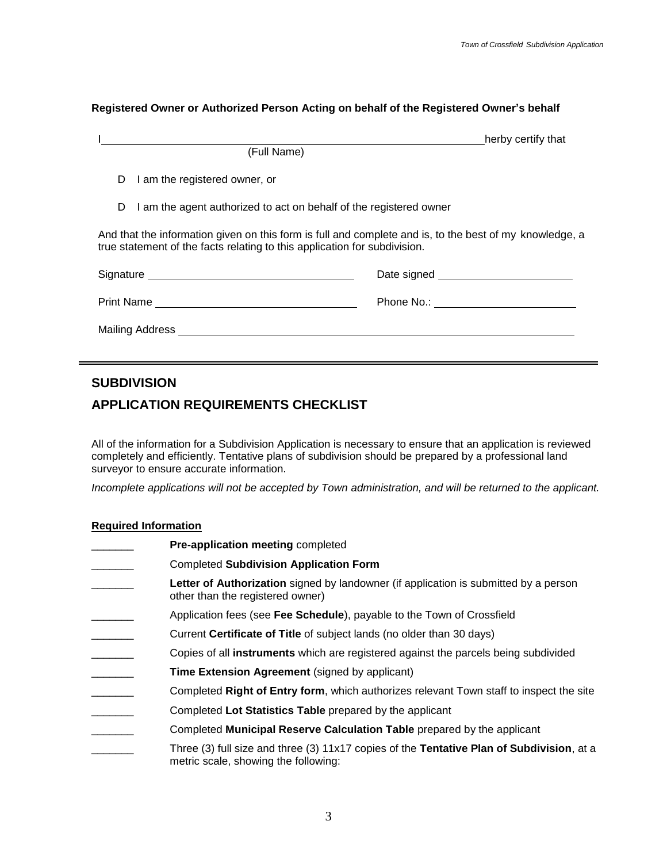#### **Registered Owner or Authorized Person Acting on behalf of the Registered Owner's behalf**

|                                                                                                                                                                                      |                                                                                                                                                                                                                                | herby certify that |  |  |  |  |
|--------------------------------------------------------------------------------------------------------------------------------------------------------------------------------------|--------------------------------------------------------------------------------------------------------------------------------------------------------------------------------------------------------------------------------|--------------------|--|--|--|--|
|                                                                                                                                                                                      | (Full Name)                                                                                                                                                                                                                    |                    |  |  |  |  |
| D.                                                                                                                                                                                   | I am the registered owner, or                                                                                                                                                                                                  |                    |  |  |  |  |
|                                                                                                                                                                                      | I am the agent authorized to act on behalf of the registered owner<br>D                                                                                                                                                        |                    |  |  |  |  |
| And that the information given on this form is full and complete and is, to the best of my knowledge, a<br>true statement of the facts relating to this application for subdivision. |                                                                                                                                                                                                                                |                    |  |  |  |  |
|                                                                                                                                                                                      |                                                                                                                                                                                                                                |                    |  |  |  |  |
|                                                                                                                                                                                      |                                                                                                                                                                                                                                |                    |  |  |  |  |
|                                                                                                                                                                                      | Mailing Address and the control of the control of the control of the control of the control of the control of the control of the control of the control of the control of the control of the control of the control of the con |                    |  |  |  |  |
|                                                                                                                                                                                      |                                                                                                                                                                                                                                |                    |  |  |  |  |

# **SUBDIVISION**

# **APPLICATION REQUIREMENTS CHECKLIST**

All of the information for a Subdivision Application is necessary to ensure that an application is reviewed completely and efficiently. Tentative plans of subdivision should be prepared by a professional land surveyor to ensure accurate information.

*Incomplete applications will not be accepted by Town administration, and will be returned to the applicant.*

## **Required Information**

\_\_\_\_\_\_\_ **Pre-application meeting** completed \_\_\_\_\_\_\_ Completed **Subdivision Application Form** Letter of Authorization signed by landowner (if application is submitted by a person other than the registered owner) Application fees (see Fee Schedule), payable to the Town of Crossfield Current **Certificate of Title** of subject lands (no older than 30 days) \_\_\_\_\_\_\_ Copies of all **instruments** which are registered against the parcels being subdivided **Time Extension Agreement** (signed by applicant) \_\_\_\_\_\_\_ Completed **Right of Entry form**, which authorizes relevant Town staff to inspect the site \_\_\_\_\_\_\_ Completed **Lot Statistics Table** prepared by the applicant \_\_\_\_\_\_\_ Completed **Municipal Reserve Calculation Table** prepared by the applicant \_\_\_\_\_\_\_ Three (3) full size and three (3) 11x17 copies of the **Tentative Plan of Subdivision**, at a metric scale, showing the following: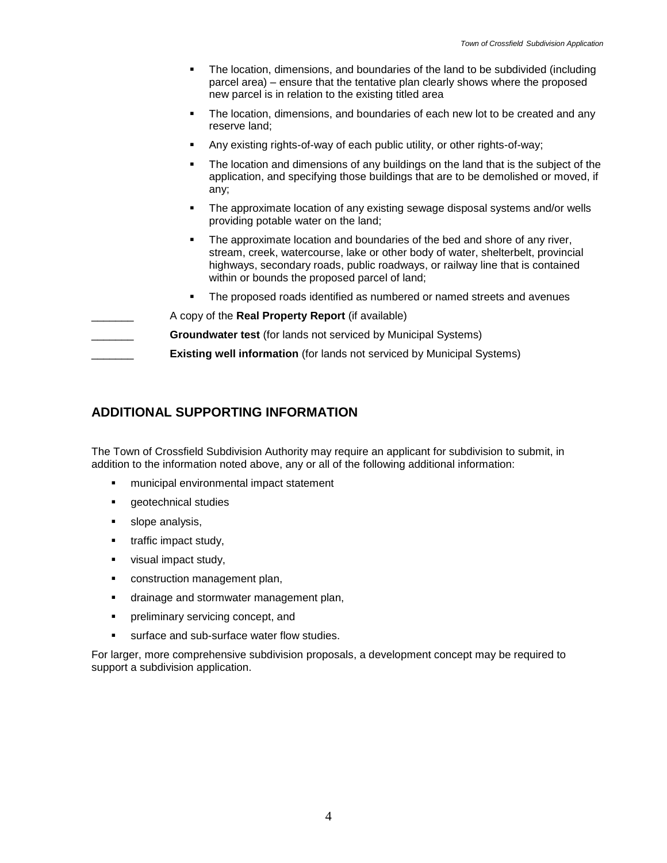- The location, dimensions, and boundaries of the land to be subdivided (including parcel area) – ensure that the tentative plan clearly shows where the proposed new parcel is in relation to the existing titled area
- The location, dimensions, and boundaries of each new lot to be created and any reserve land;
- Any existing rights-of-way of each public utility, or other rights-of-way;
- The location and dimensions of any buildings on the land that is the subject of the application, and specifying those buildings that are to be demolished or moved, if any;
- The approximate location of any existing sewage disposal systems and/or wells providing potable water on the land;
- The approximate location and boundaries of the bed and shore of any river, stream, creek, watercourse, lake or other body of water, shelterbelt, provincial highways, secondary roads, public roadways, or railway line that is contained within or bounds the proposed parcel of land;
- The proposed roads identified as numbered or named streets and avenues
- \_\_\_\_\_\_\_ A copy of the **Real Property Report** (if available)
- \_\_\_\_\_\_\_ **Groundwater test** (for lands not serviced by Municipal Systems)
- **Existing well information** (for lands not serviced by Municipal Systems)

# **ADDITIONAL SUPPORTING INFORMATION**

The Town of Crossfield Subdivision Authority may require an applicant for subdivision to submit, in addition to the information noted above, any or all of the following additional information:

- municipal environmental impact statement
- **geotechnical studies**
- **slope analysis,**
- traffic impact study,
- visual impact study,
- construction management plan,
- **drainage and stormwater management plan,**
- **•** preliminary servicing concept, and
- surface and sub-surface water flow studies.

For larger, more comprehensive subdivision proposals, a development concept may be required to support a subdivision application.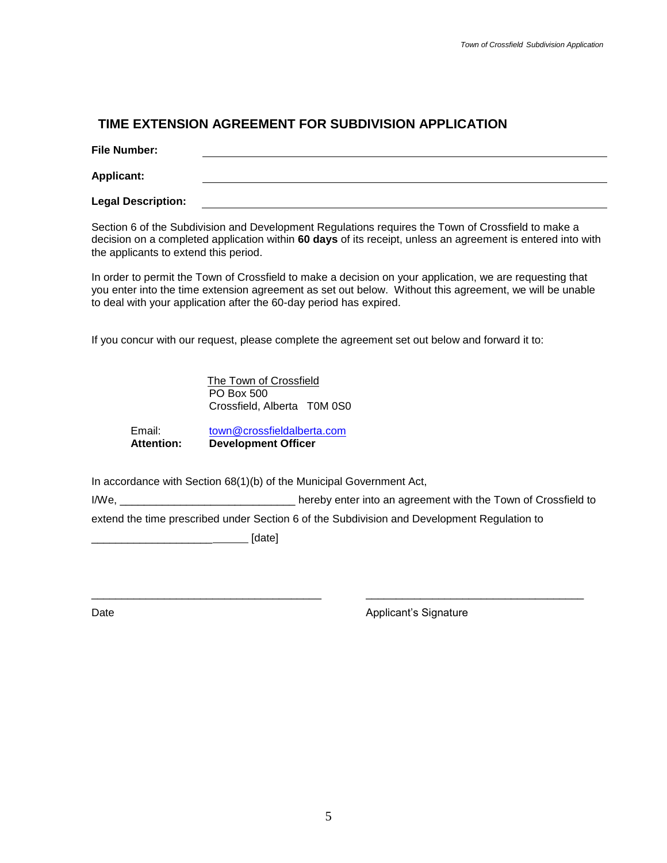# **TIME EXTENSION AGREEMENT FOR SUBDIVISION APPLICATION**

**File Number:**

**Applicant:**

**Legal Description:**

Section 6 of the Subdivision and Development Regulations requires the Town of Crossfield to make a decision on a completed application within **60 days** of its receipt, unless an agreement is entered into with the applicants to extend this period.

In order to permit the Town of Crossfield to make a decision on your application, we are requesting that you enter into the time extension agreement as set out below. Without this agreement, we will be unable to deal with your application after the 60-day period has expired.

If you concur with our request, please complete the agreement set out below and forward it to:

The Town of Crossfield PO Box 500 Crossfield, Alberta T0M 0S0

Email: [town@crossfieldalberta.com](mailto:town@crossfieldalberta.com) **Attention: Development Officer**

In accordance with Section 68(1)(b) of the Municipal Government Act,

I/We, **I/We**, **EXECUTE:** The state of the replacement with the Town of Crossfield to

\_\_\_\_\_\_\_\_\_\_\_\_\_\_\_\_\_\_\_\_\_\_\_\_\_\_\_\_\_\_\_\_\_\_\_\_\_\_ \_\_\_\_\_\_\_\_\_\_\_\_\_\_\_\_\_\_\_\_\_\_\_\_\_\_\_\_\_\_\_\_\_\_\_\_

extend the time prescribed under Section 6 of the Subdivision and Development Regulation to

\_\_\_\_\_\_\_\_\_\_\_\_\_\_\_\_\_\_\_\_ [date]

Date **Date Contract Applicant's Signature Contract Applicant Applicant**'s Signature